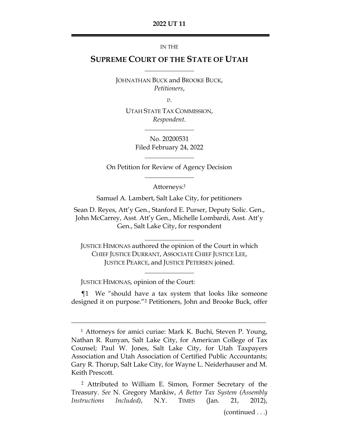# **2022 UT 11**

#### IN THE

# **SUPREME COURT OF THE STATE OF UTAH**

JOHNATHAN BUCK and BROOKE BUCK, *Petitioners*,

*v.*

UTAH STATE TAX COMMISSION, *Respondent*.

> No. 20200531 Filed February 24, 2022

On Petition for Review of Agency Decision

Attorneys:<sup>1</sup>

Samuel A. Lambert, Salt Lake City, for petitioners

Sean D. Reyes, Att'y Gen., Stanford E. Purser, Deputy Solic. Gen., John McCarrey, Asst. Att'y Gen., Michelle Lombardi, Asst. Att'y Gen., Salt Lake City, for respondent

JUSTICE HIMONAS authored the opinion of the Court in which CHIEF JUSTICE DURRANT, ASSOCIATE CHIEF JUSTICE LEE, JUSTICE PEARCE, and JUSTICE PETERSEN joined.

JUSTICE HIMONAS, opinion of the Court:

 $\P1$  We "should have a tax system that looks like someone designed it on purpose."<sup>2</sup> Petitioners, John and Brooke Buck, offer

<sup>1</sup> Attorneys for amici curiae: Mark K. Buchi, Steven P. Young, Nathan R. Runyan, Salt Lake City, for American College of Tax Counsel; Paul W. Jones, Salt Lake City, for Utah Taxpayers Association and Utah Association of Certified Public Accountants; Gary R. Thorup, Salt Lake City, for Wayne L. Neiderhauser and M. Keith Prescott.

<sup>2</sup> Attributed to William E. Simon, Former Secretary of the Treasury. *See* N. Gregory Mankiw, *A Better Tax System (Assembly Instructions Included)*, N.Y. TIMES (Jan. 21, 2012),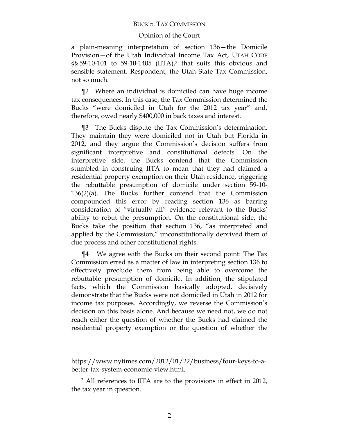## Opinion of the Court

a plain-meaning interpretation of section 136—the Domicile Provision—of the Utah Individual Income Tax Act, UTAH CODE §§ 59-10-101 to 59-10-1405 (IITA), <sup>3</sup> that suits this obvious and sensible statement. Respondent, the Utah State Tax Commission, not so much.

¶2 Where an individual is domiciled can have huge income tax consequences. In this case, the Tax Commission determined the Bucks "were domiciled in Utah for the 2012 tax year" and, therefore, owed nearly \$400,000 in back taxes and interest.

¶3 The Bucks dispute the Tax Commission's determination. They maintain they were domiciled not in Utah but Florida in 2012, and they argue the Commission's decision suffers from significant interpretive and constitutional defects. On the interpretive side, the Bucks contend that the Commission stumbled in construing IITA to mean that they had claimed a residential property exemption on their Utah residence, triggering the rebuttable presumption of domicile under section 59-10- 136(2)(a). The Bucks further contend that the Commission compounded this error by reading section 136 as barring consideration of "virtually all" evidence relevant to the Bucks' ability to rebut the presumption. On the constitutional side, the Bucks take the position that section 136, "as interpreted and applied by the Commission," unconstitutionally deprived them of due process and other constitutional rights.

¶4 We agree with the Bucks on their second point: The Tax Commission erred as a matter of law in interpreting section 136 to effectively preclude them from being able to overcome the rebuttable presumption of domicile. In addition, the stipulated facts, which the Commission basically adopted, decisively demonstrate that the Bucks were not domiciled in Utah in 2012 for income tax purposes. Accordingly, we reverse the Commission's decision on this basis alone. And because we need not, we do not reach either the question of whether the Bucks had claimed the residential property exemption or the question of whether the

 $\overline{a}$ 

https://www.nytimes.com/2012/01/22/business/four-keys-to-abetter-tax-system-economic-view.html.

<sup>3</sup> All references to IITA are to the provisions in effect in 2012, the tax year in question.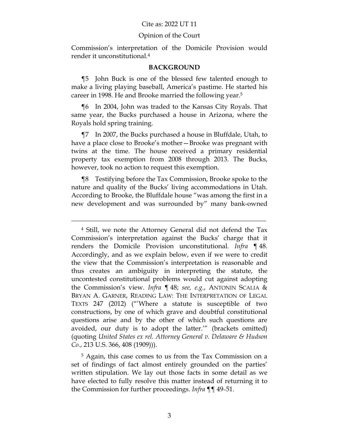#### Opinion of the Court

Commission's interpretation of the Domicile Provision would render it unconstitutional.<sup>4</sup>

# **BACKGROUND**

¶5 John Buck is one of the blessed few talented enough to make a living playing baseball, America's pastime. He started his career in 1998. He and Brooke married the following year.<sup>5</sup>

¶6 In 2004, John was traded to the Kansas City Royals. That same year, the Bucks purchased a house in Arizona, where the Royals hold spring training.

¶7 In 2007, the Bucks purchased a house in Bluffdale, Utah, to have a place close to Brooke's mother—Brooke was pregnant with twins at the time. The house received a primary residential property tax exemption from 2008 through 2013. The Bucks, however, took no action to request this exemption.

¶8 Testifying before the Tax Commission, Brooke spoke to the nature and quality of the Bucks' living accommodations in Utah. According to Brooke, the Bluffdale house "was among the first in a new development and was surrounded by" many bank-owned

\_\_\_\_\_\_\_\_\_\_\_\_\_\_\_\_\_\_\_\_\_\_\_\_\_\_\_\_\_\_\_\_\_\_\_\_\_\_\_\_\_\_\_\_\_\_\_\_\_\_\_\_\_\_\_\_\_\_\_

<sup>5</sup> Again, this case comes to us from the Tax Commission on a set of findings of fact almost entirely grounded on the parties' written stipulation. We lay out those facts in some detail as we have elected to fully resolve this matter instead of returning it to the Commission for further proceedings. *Infra* ¶¶ 49–51.

<sup>4</sup> Still, we note the Attorney General did not defend the Tax Commission's interpretation against the Bucks' charge that it renders the Domicile Provision unconstitutional. *Infra* ¶ 48. Accordingly, and as we explain below, even if we were to credit the view that the Commission's interpretation is reasonable and thus creates an ambiguity in interpreting the statute, the uncontested constitutional problems would cut against adopting the Commission's view. *Infra* ¶ 48; *see, e.g.*, ANTONIN SCALIA & BRYAN A. GARNER, READING LAW: THE INTERPRETATION OF LEGAL TEXTS 247 (2012) ("'Where a statute is susceptible of two constructions, by one of which grave and doubtful constitutional questions arise and by the other of which such questions are avoided, our duty is to adopt the latter." (brackets omitted) (quoting *United States ex rel. Attorney General v. Delaware & Hudson Co.*, 213 U.S. 366, 408 (1909))).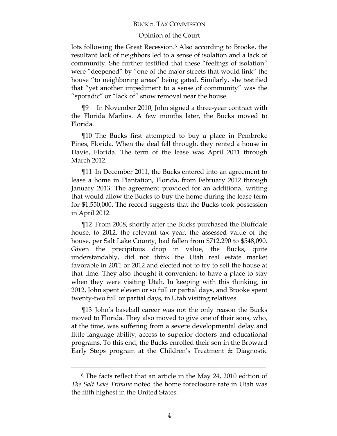### Opinion of the Court

lots following the Great Recession. <sup>6</sup> Also according to Brooke, the resultant lack of neighbors led to a sense of isolation and a lack of community. She further testified that these "feelings of isolation" were "deepened" by "one of the major streets that would link" the house "to neighboring areas" being gated. Similarly, she testified that "yet another impediment to a sense of community" was the "sporadic" or "lack of" snow removal near the house.

¶9 In November 2010, John signed a three-year contract with the Florida Marlins. A few months later, the Bucks moved to Florida.

¶10 The Bucks first attempted to buy a place in Pembroke Pines, Florida. When the deal fell through, they rented a house in Davie, Florida. The term of the lease was April 2011 through March 2012.

¶11 In December 2011, the Bucks entered into an agreement to lease a home in Plantation, Florida, from February 2012 through January 2013. The agreement provided for an additional writing that would allow the Bucks to buy the home during the lease term for \$1,550,000. The record suggests that the Bucks took possession in April 2012.

¶12 From 2008, shortly after the Bucks purchased the Bluffdale house, to 2012, the relevant tax year, the assessed value of the house, per Salt Lake County, had fallen from \$712,290 to \$548,090. Given the precipitous drop in value, the Bucks, quite understandably, did not think the Utah real estate market favorable in 2011 or 2012 and elected not to try to sell the house at that time. They also thought it convenient to have a place to stay when they were visiting Utah. In keeping with this thinking, in 2012, John spent eleven or so full or partial days, and Brooke spent twenty-two full or partial days, in Utah visiting relatives.

¶13 John's baseball career was not the only reason the Bucks moved to Florida. They also moved to give one of their sons, who, at the time, was suffering from a severe developmental delay and little language ability, access to superior doctors and educational programs. To this end, the Bucks enrolled their son in the Broward Early Steps program at the Children's Treatment & Diagnostic

<sup>6</sup> The facts reflect that an article in the May 24, 2010 edition of *The Salt Lake Tribune* noted the home foreclosure rate in Utah was the fifth highest in the United States.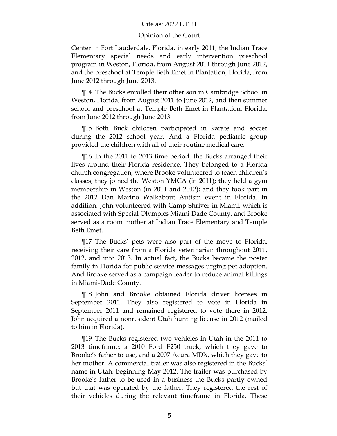### Opinion of the Court

Center in Fort Lauderdale, Florida, in early 2011, the Indian Trace Elementary special needs and early intervention preschool program in Weston, Florida, from August 2011 through June 2012, and the preschool at Temple Beth Emet in Plantation, Florida, from June 2012 through June 2013.

¶14 The Bucks enrolled their other son in Cambridge School in Weston, Florida, from August 2011 to June 2012, and then summer school and preschool at Temple Beth Emet in Plantation, Florida, from June 2012 through June 2013.

¶15 Both Buck children participated in karate and soccer during the 2012 school year. And a Florida pediatric group provided the children with all of their routine medical care.

¶16 In the 2011 to 2013 time period, the Bucks arranged their lives around their Florida residence. They belonged to a Florida church congregation, where Brooke volunteered to teach children's classes; they joined the Weston YMCA (in 2011); they held a gym membership in Weston (in 2011 and 2012); and they took part in the 2012 Dan Marino Walkabout Autism event in Florida. In addition, John volunteered with Camp Shriver in Miami, which is associated with Special Olympics Miami Dade County, and Brooke served as a room mother at Indian Trace Elementary and Temple Beth Emet.

¶17 The Bucks' pets were also part of the move to Florida, receiving their care from a Florida veterinarian throughout 2011, 2012, and into 2013. In actual fact, the Bucks became the poster family in Florida for public service messages urging pet adoption. And Brooke served as a campaign leader to reduce animal killings in Miami-Dade County.

¶18 John and Brooke obtained Florida driver licenses in September 2011. They also registered to vote in Florida in September 2011 and remained registered to vote there in 2012. John acquired a nonresident Utah hunting license in 2012 (mailed to him in Florida).

¶19 The Bucks registered two vehicles in Utah in the 2011 to 2013 timeframe: a 2010 Ford F250 truck, which they gave to Brooke's father to use, and a 2007 Acura MDX, which they gave to her mother. A commercial trailer was also registered in the Bucks' name in Utah, beginning May 2012. The trailer was purchased by Brooke's father to be used in a business the Bucks partly owned but that was operated by the father. They registered the rest of their vehicles during the relevant timeframe in Florida. These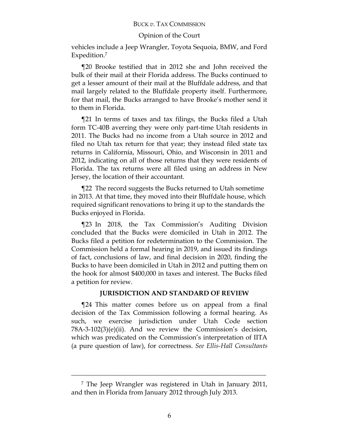#### Opinion of the Court

vehicles include a Jeep Wrangler, Toyota Sequoia, BMW, and Ford Expedition.<sup>7</sup>

¶20 Brooke testified that in 2012 she and John received the bulk of their mail at their Florida address. The Bucks continued to get a lesser amount of their mail at the Bluffdale address, and that mail largely related to the Bluffdale property itself. Furthermore, for that mail, the Bucks arranged to have Brooke's mother send it to them in Florida.

¶21 In terms of taxes and tax filings, the Bucks filed a Utah form TC-40B averring they were only part-time Utah residents in 2011. The Bucks had no income from a Utah source in 2012 and filed no Utah tax return for that year; they instead filed state tax returns in California, Missouri, Ohio, and Wisconsin in 2011 and 2012, indicating on all of those returns that they were residents of Florida. The tax returns were all filed using an address in New Jersey, the location of their accountant.

¶22 The record suggests the Bucks returned to Utah sometime in 2013. At that time, they moved into their Bluffdale house, which required significant renovations to bring it up to the standards the Bucks enjoyed in Florida.

¶23 In 2018, the Tax Commission's Auditing Division concluded that the Bucks were domiciled in Utah in 2012. The Bucks filed a petition for redetermination to the Commission. The Commission held a formal hearing in 2019, and issued its findings of fact, conclusions of law, and final decision in 2020, finding the Bucks to have been domiciled in Utah in 2012 and putting them on the hook for almost \$400,000 in taxes and interest. The Bucks filed a petition for review.

#### **JURISDICTION AND STANDARD OF REVIEW**

¶24 This matter comes before us on appeal from a final decision of the Tax Commission following a formal hearing. As such, we exercise jurisdiction under Utah Code section 78A-3-102(3)(e)(ii). And we review the Commission's decision, which was predicated on the Commission's interpretation of IITA (a pure question of law), for correctness. *See Ellis-Hall Consultants* 

<sup>7</sup> The Jeep Wrangler was registered in Utah in January 2011, and then in Florida from January 2012 through July 2013.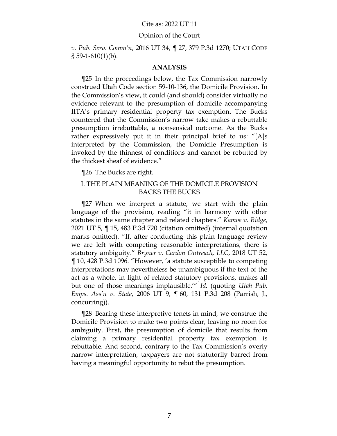#### Opinion of the Court

*v. Pub. Serv. Comm'n*, 2016 UT 34, ¶ 27, 379 P.3d 1270; UTAH CODE  $\S 59-1-610(1)(b)$ .

### **ANALYSIS**

¶25 In the proceedings below, the Tax Commission narrowly construed Utah Code section 59-10-136, the Domicile Provision. In the Commission's view, it could (and should) consider virtually no evidence relevant to the presumption of domicile accompanying IITA's primary residential property tax exemption. The Bucks countered that the Commission's narrow take makes a rebuttable presumption irrebuttable, a nonsensical outcome. As the Bucks rather expressively put it in their principal brief to us:  $\text{``[A]s}$ interpreted by the Commission, the Domicile Presumption is invoked by the thinnest of conditions and cannot be rebutted by the thickest sheaf of evidence."

¶26 The Bucks are right.

# I. THE PLAIN MEANING OF THE DOMICILE PROVISION BACKS THE BUCKS

¶27 When we interpret a statute, we start with the plain language of the provision, reading "it in harmony with other statutes in the same chapter and related chapters.‖ *Kamoe v. Ridge*, 2021 UT 5, ¶ 15, 483 P.3d 720 (citation omitted) (internal quotation marks omitted). "If, after conducting this plain language review we are left with competing reasonable interpretations, there is statutory ambiguity.‖ *Bryner v. Cardon Outreach, LLC*, 2018 UT 52, ¶ 10, 428 P.3d 1096. ―However, ‗a statute susceptible to competing interpretations may nevertheless be unambiguous if the text of the act as a whole, in light of related statutory provisions, makes all but one of those meanings implausible.'" Id. (quoting *Utah Pub. Emps. Ass'n v. State*, 2006 UT 9, ¶ 60, 131 P.3d 208 (Parrish, J., concurring)).

¶28 Bearing these interpretive tenets in mind, we construe the Domicile Provision to make two points clear, leaving no room for ambiguity. First, the presumption of domicile that results from claiming a primary residential property tax exemption is rebuttable. And second, contrary to the Tax Commission's overly narrow interpretation, taxpayers are not statutorily barred from having a meaningful opportunity to rebut the presumption.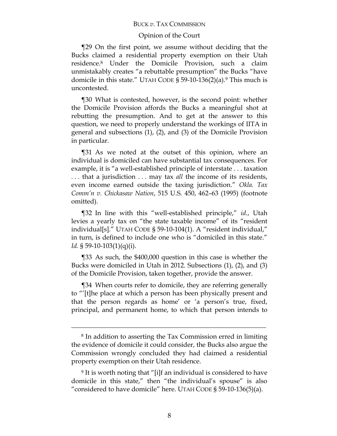#### Opinion of the Court

¶29 On the first point, we assume without deciding that the Bucks claimed a residential property exemption on their Utah residence. <sup>8</sup> Under the Domicile Provision, such a claim unmistakably creates "a rebuttable presumption" the Bucks "have domicile in this state." UTAH CODE  $\S 59-10-136(2)(a)$ . This much is uncontested.

¶30 What is contested, however, is the second point: whether the Domicile Provision affords the Bucks a meaningful shot at rebutting the presumption. And to get at the answer to this question, we need to properly understand the workings of IITA in general and subsections (1), (2), and (3) of the Domicile Provision in particular.

¶31 As we noted at the outset of this opinion, where an individual is domiciled can have substantial tax consequences. For example, it is "a well-established principle of interstate . . . taxation . . . that a jurisdiction . . . may tax *all* the income of its residents, even income earned outside the taxing jurisdiction.‖ *Okla. Tax Comm'n v. Chickasaw Nation*, 515 U.S. 450, 462–63 (1995) (footnote omitted).

¶32 In line with this ―well-established principle,‖ *id.*, Utah levies a yearly tax on "the state taxable income" of its "resident individual[s]." UTAH CODE  $\S 59-10-104(1)$ . A "resident individual," in turn, is defined to include one who is "domiciled in this state." *Id.* § 59-10-103(1)(q)(i).

¶33 As such, the \$400,000 question in this case is whether the Bucks were domiciled in Utah in 2012. Subsections (1), (2), and (3) of the Domicile Provision, taken together, provide the answer.

¶34 When courts refer to domicile, they are referring generally to "[t]he place at which a person has been physically present and that the person regards as home' or ‗a person's true, fixed, principal, and permanent home, to which that person intends to

<sup>8</sup> In addition to asserting the Tax Commission erred in limiting the evidence of domicile it could consider, the Bucks also argue the Commission wrongly concluded they had claimed a residential property exemption on their Utah residence.

<sup>&</sup>lt;sup>9</sup> It is worth noting that "[i]f an individual is considered to have domicile in this state," then "the individual's spouse" is also "considered to have domicile" here. UTAH CODE  $\S$  59-10-136(5)(a).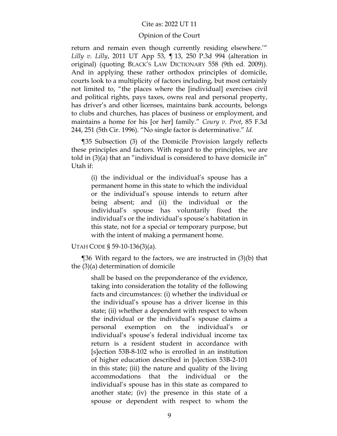#### Opinion of the Court

return and remain even though currently residing elsewhere.''' *Lilly v. Lilly*, 2011 UT App 53, ¶ 13, 250 P.3d 994 (alteration in original) (quoting BLACK'S LAW DICTIONARY 558 (9th ed. 2009)). And in applying these rather orthodox principles of domicile, courts look to a multiplicity of factors including, but most certainly not limited to, "the places where the [individual] exercises civil and political rights, pays taxes, owns real and personal property, has driver's and other licenses, maintains bank accounts, belongs to clubs and churches, has places of business or employment, and maintains a home for his [or her] family.‖ *Coury v. Prot*, 85 F.3d 244, 251 (5th Cir. 1996). "No single factor is determinative." *Id.* 

¶35 Subsection (3) of the Domicile Provision largely reflects these principles and factors. With regard to the principles, we are told in  $(3)(a)$  that an "individual is considered to have domicile in" Utah if:

(i) the individual or the individual's spouse has a permanent home in this state to which the individual or the individual's spouse intends to return after being absent; and (ii) the individual or the individual's spouse has voluntarily fixed the individual's or the individual's spouse's habitation in this state, not for a special or temporary purpose, but with the intent of making a permanent home.

UTAH CODE § 59-10-136(3)(a).

¶36 With regard to the factors, we are instructed in (3)(b) that the (3)(a) determination of domicile

shall be based on the preponderance of the evidence, taking into consideration the totality of the following facts and circumstances: (i) whether the individual or the individual's spouse has a driver license in this state; (ii) whether a dependent with respect to whom the individual or the individual's spouse claims a personal exemption on the individual's or individual's spouse's federal individual income tax return is a resident student in accordance with [s]ection 53B-8-102 who is enrolled in an institution of higher education described in [s]ection 53B-2-101 in this state; (iii) the nature and quality of the living accommodations that the individual or the individual's spouse has in this state as compared to another state; (iv) the presence in this state of a spouse or dependent with respect to whom the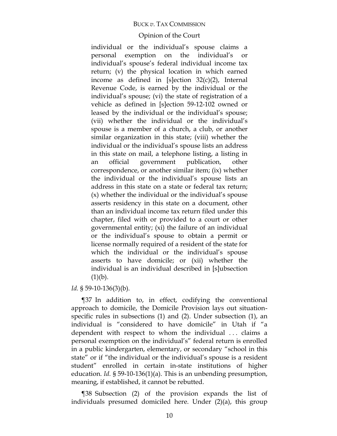### Opinion of the Court

individual or the individual's spouse claims a personal exemption on the individual's or individual's spouse's federal individual income tax return; (v) the physical location in which earned income as defined in [s]ection 32(c)(2), Internal Revenue Code, is earned by the individual or the individual's spouse; (vi) the state of registration of a vehicle as defined in [s]ection 59-12-102 owned or leased by the individual or the individual's spouse; (vii) whether the individual or the individual's spouse is a member of a church, a club, or another similar organization in this state; (viii) whether the individual or the individual's spouse lists an address in this state on mail, a telephone listing, a listing in an official government publication, other correspondence, or another similar item; (ix) whether the individual or the individual's spouse lists an address in this state on a state or federal tax return; (x) whether the individual or the individual's spouse asserts residency in this state on a document, other than an individual income tax return filed under this chapter, filed with or provided to a court or other governmental entity; (xi) the failure of an individual or the individual's spouse to obtain a permit or license normally required of a resident of the state for which the individual or the individual's spouse asserts to have domicile; or (xii) whether the individual is an individual described in [s]ubsection  $(1)(b).$ 

### *Id.* § 59-10-136(3)(b).

¶37 In addition to, in effect, codifying the conventional approach to domicile, the Domicile Provision lays out situationspecific rules in subsections (1) and (2). Under subsection (1), an individual is "considered to have domicile" in Utah if "a dependent with respect to whom the individual ... claims a personal exemption on the individual's‖ federal return is enrolled in a public kindergarten, elementary, or secondary "school in this state" or if "the individual or the individual's spouse is a resident student" enrolled in certain in-state institutions of higher education. *Id.* § 59-10-136(1)(a). This is an unbending presumption, meaning, if established, it cannot be rebutted.

¶38 Subsection (2) of the provision expands the list of individuals presumed domiciled here. Under (2)(a), this group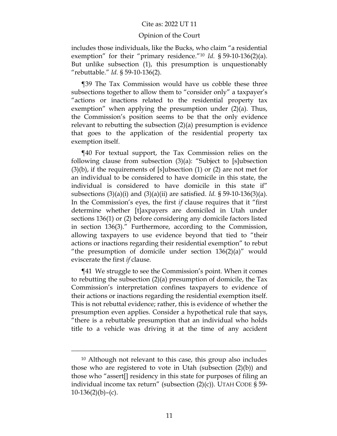#### Opinion of the Court

includes those individuals, like the Bucks, who claim "a residential exemption<sup>"</sup> for their "primary residence."<sup>10</sup> *Id.* § 59-10-136(2)(a). But unlike subsection (1), this presumption is unquestionably ―rebuttable.‖ *Id.* § 59-10-136(2).

¶39 The Tax Commission would have us cobble these three subsections together to allow them to "consider only" a taxpayer's "actions or inactions related to the residential property tax exemption" when applying the presumption under  $(2)(a)$ . Thus, the Commission's position seems to be that the only evidence relevant to rebutting the subsection (2)(a) presumption is evidence that goes to the application of the residential property tax exemption itself.

¶40 For textual support, the Tax Commission relies on the following clause from subsection  $(3)(a)$ : "Subject to [s]ubsection  $(3)(b)$ , if the requirements of [s]ubsection  $(1)$  or  $(2)$  are not met for an individual to be considered to have domicile in this state, the individual is considered to have domicile in this state if" subsections (3)(a)(i) and (3)(a)(ii) are satisfied. *Id.* § 59-10-136(3)(a). In the Commission's eyes, the first *if* clause requires that it "first determine whether [t]axpayers are domiciled in Utah under sections 136(1) or (2) before considering any domicile factors listed in section 136(3)." Furthermore, according to the Commission, allowing taxpayers to use evidence beyond that tied to "their actions or inactions regarding their residential exemption" to rebut "the presumption of domicile under section  $136(2)(a)$ " would eviscerate the first *if* clause.

¶41 We struggle to see the Commission's point. When it comes to rebutting the subsection (2)(a) presumption of domicile, the Tax Commission's interpretation confines taxpayers to evidence of their actions or inactions regarding the residential exemption itself. This is not rebuttal evidence; rather, this is evidence of whether the presumption even applies. Consider a hypothetical rule that says, "there is a rebuttable presumption that an individual who holds title to a vehicle was driving it at the time of any accident

<sup>10</sup> Although not relevant to this case, this group also includes those who are registered to vote in Utah (subsection (2)(b)) and those who "assert. residency in this state for purposes of filing an individual income tax return" (subsection  $(2)(c)$ ). UTAH CODE § 59- $10-136(2)(b)-(c)$ .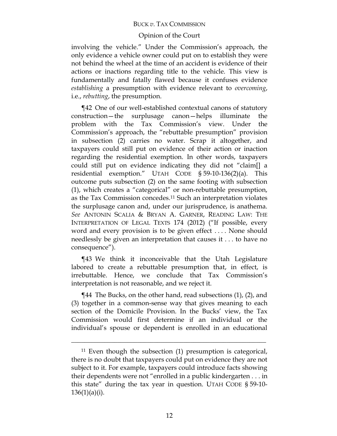## Opinion of the Court

involving the vehicle." Under the Commission's approach, the only evidence a vehicle owner could put on to establish they were not behind the wheel at the time of an accident is evidence of their actions or inactions regarding title to the vehicle. This view is fundamentally and fatally flawed because it confuses evidence *establishing* a presumption with evidence relevant to *overcoming*, i.e., *rebutting*, the presumption.

¶42 One of our well-established contextual canons of statutory construction—the surplusage canon—helps illuminate the problem with the Tax Commission's view. Under the Commission's approach, the "rebuttable presumption" provision in subsection (2) carries no water. Scrap it altogether, and taxpayers could still put on evidence of their action or inaction regarding the residential exemption. In other words, taxpayers could still put on evidence indicating they did not "claim. residential exemption." UTAH CODE  $\S 59-10-136(2)(a)$ . This outcome puts subsection (2) on the same footing with subsection  $(1)$ , which creates a "categorical" or non-rebuttable presumption, as the Tax Commission concedes.<sup>11</sup> Such an interpretation violates the surplusage canon and, under our jurisprudence, is anathema. *See* ANTONIN SCALIA & BRYAN A. GARNER, READING LAW: THE INTERPRETATION OF LEGAL TEXTS 174 (2012) ("If possible, every word and every provision is to be given effect .... None should needlessly be given an interpretation that causes it . . . to have no consequence").

¶43 We think it inconceivable that the Utah Legislature labored to create a rebuttable presumption that, in effect, is irrebuttable. Hence, we conclude that Tax Commission's interpretation is not reasonable, and we reject it.

¶44 The Bucks, on the other hand, read subsections (1), (2), and (3) together in a common-sense way that gives meaning to each section of the Domicile Provision. In the Bucks' view, the Tax Commission would first determine if an individual or the individual's spouse or dependent is enrolled in an educational

<sup>&</sup>lt;sup>11</sup> Even though the subsection (1) presumption is categorical, there is no doubt that taxpayers could put on evidence they are not subject to it. For example, taxpayers could introduce facts showing their dependents were not "enrolled in a public kindergarten  $\dots$  in this state" during the tax year in question. UTAH CODE § 59-10- $136(1)(a)(i)$ .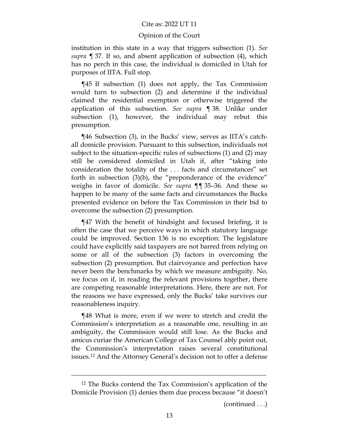#### Opinion of the Court

institution in this state in a way that triggers subsection (1). *See supra* ¶ 37. If so, and absent application of subsection (4), which has no perch in this case, the individual is domiciled in Utah for purposes of IITA. Full stop.

¶45 If subsection (1) does not apply, the Tax Commission would turn to subsection (2) and determine if the individual claimed the residential exemption or otherwise triggered the application of this subsection. *See supra* ¶ 38. Unlike under subsection (1), however, the individual may rebut this presumption.

¶46 Subsection (3), in the Bucks' view, serves as IITA's catchall domicile provision. Pursuant to this subsection, individuals not subject to the situation-specific rules of subsections (1) and (2) may still be considered domiciled in Utah if, after "taking into consideration the totality of the ... facts and circumstances" set forth in subsection  $(3)(b)$ , the "preponderance of the evidence" weighs in favor of domicile. *See supra* ¶¶ 35–36. And these so happen to be many of the same facts and circumstances the Bucks presented evidence on before the Tax Commission in their bid to overcome the subsection (2) presumption.

¶47 With the benefit of hindsight and focused briefing, it is often the case that we perceive ways in which statutory language could be improved. Section 136 is no exception: The legislature could have explicitly said taxpayers are not barred from relying on some or all of the subsection (3) factors in overcoming the subsection (2) presumption. But clairvoyance and perfection have never been the benchmarks by which we measure ambiguity. No, we focus on if, in reading the relevant provisions together, there are competing reasonable interpretations. Here, there are not. For the reasons we have expressed, only the Bucks' take survives our reasonableness inquiry.

¶48 What is more, even if we were to stretch and credit the Commission's interpretation as a reasonable one, resulting in an ambiguity, the Commission would still lose. As the Bucks and amicus curiae the American College of Tax Counsel ably point out, the Commission's interpretation raises several constitutional issues. <sup>12</sup> And the Attorney General's decision not to offer a defense

\_\_\_\_\_\_\_\_\_\_\_\_\_\_\_\_\_\_\_\_\_\_\_\_\_\_\_\_\_\_\_\_\_\_\_\_\_\_\_\_\_\_\_\_\_\_\_\_\_\_\_\_\_\_\_\_\_\_\_

(continued . . .)

<sup>12</sup> The Bucks contend the Tax Commission's application of the Domicile Provision (1) denies them due process because "it doesn't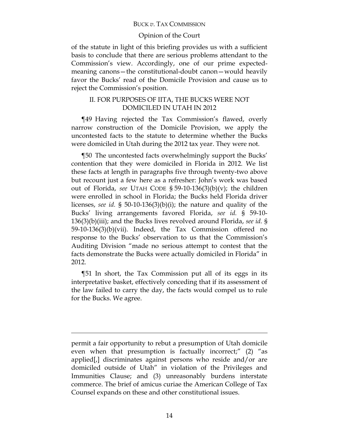### Opinion of the Court

of the statute in light of this briefing provides us with a sufficient basis to conclude that there are serious problems attendant to the Commission's view. Accordingly, one of our prime expectedmeaning canons—the constitutional-doubt canon—would heavily favor the Bucks' read of the Domicile Provision and cause us to reject the Commission's position.

# II. FOR PURPOSES OF IITA, THE BUCKS WERE NOT DOMICILED IN UTAH IN 2012

¶49 Having rejected the Tax Commission's flawed, overly narrow construction of the Domicile Provision, we apply the uncontested facts to the statute to determine whether the Bucks were domiciled in Utah during the 2012 tax year. They were not.

¶50 The uncontested facts overwhelmingly support the Bucks' contention that they were domiciled in Florida in 2012. We list these facts at length in paragraphs five through twenty-two above but recount just a few here as a refresher: John's work was based out of Florida, *see* UTAH CODE § 59-10-136(3)(b)(v); the children were enrolled in school in Florida; the Bucks held Florida driver licenses, *see id.* § 50-10-136(3)(b)(i); the nature and quality of the Bucks' living arrangements favored Florida, *see id.* § 59-10- 136(3)(b)(iii); and the Bucks lives revolved around Florida, *see id.* § 59-10-136(3)(b)(vii). Indeed, the Tax Commission offered no response to the Bucks' observation to us that the Commission's Auditing Division "made no serious attempt to contest that the facts demonstrate the Bucks were actually domiciled in Florida" in 2012.

¶51 In short, the Tax Commission put all of its eggs in its interpretative basket, effectively conceding that if its assessment of the law failed to carry the day, the facts would compel us to rule for the Bucks. We agree.

 $\overline{a}$ 

permit a fair opportunity to rebut a presumption of Utah domicile even when that presumption is factually incorrect;"  $(2)$  "as applied[,] discriminates against persons who reside and/or are domiciled outside of Utah" in violation of the Privileges and Immunities Clause; and (3) unreasonably burdens interstate commerce. The brief of amicus curiae the American College of Tax Counsel expands on these and other constitutional issues.